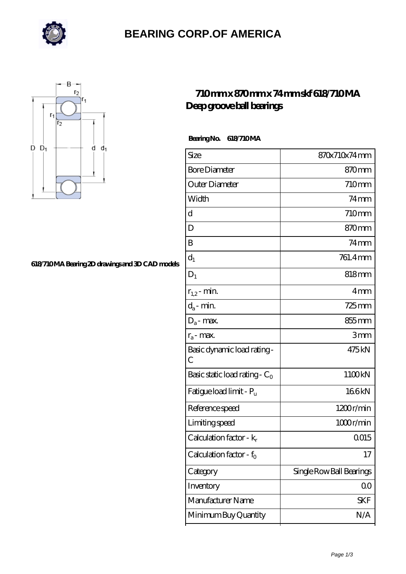

### **[BEARING CORP.OF AMERICA](https://richiecusick.com)**



#### **[618/710 MA Bearing 2D drawings and 3D CAD models](https://richiecusick.com/pic-64956329.html)**

### **[710 mm x 870 mm x 74 mm skf 618/710 MA](https://richiecusick.com/aw-64956329-skf-618-710-ma-deep-groove-ball-bearings.html) [Deep groove ball bearings](https://richiecusick.com/aw-64956329-skf-618-710-ma-deep-groove-ball-bearings.html)**

**Bearing No. 618/710 MA** 

| Size                             | 870x710x74mm             |
|----------------------------------|--------------------------|
| <b>Bore Diameter</b>             | 870mm                    |
| Outer Diameter                   | 710mm                    |
| Width                            | $74$ mm                  |
| d                                | 710mm                    |
| D                                | 870mm                    |
| B                                | $74$ mm                  |
| $d_1$                            | 761.4mm                  |
| $D_1$                            | $818 \text{mm}$          |
| $r_{1,2}$ - min.                 | 4 <sub>mm</sub>          |
| $d_a$ - min.                     | $725$ <sub>mm</sub>      |
| $D_a$ - max.                     | 855 mm                   |
| $r_a$ - max.                     | 3mm                      |
| Basic dynamic load rating-<br>С  | 475kN                    |
| Basic static load rating - $C_0$ | 1100kN                   |
| Fatigue load limit - Pu          | 166kN                    |
| Reference speed                  | 1200r/min                |
| Limiting speed                   | 1000r/min                |
| Calculation factor - $k_r$       | 0015                     |
| Calculation factor - $f_0$       | 17                       |
| Category                         | Single Row Ball Bearings |
| Inventory                        | 00                       |
| Manufacturer Name                | <b>SKF</b>               |
| Minimum Buy Quantity             | N/A                      |
|                                  |                          |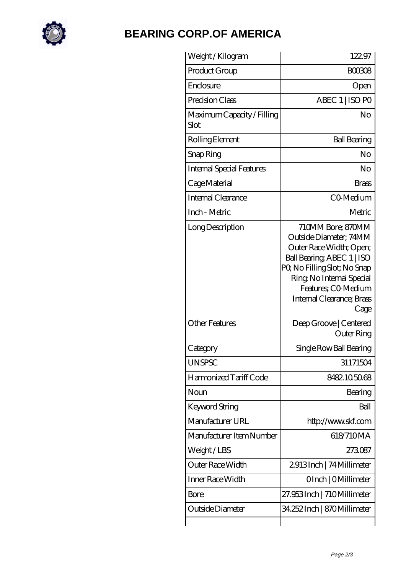

# **[BEARING CORP.OF AMERICA](https://richiecusick.com)**

| Weight / Kilogram                  | 122.97                                                                                                                                                                                                                       |
|------------------------------------|------------------------------------------------------------------------------------------------------------------------------------------------------------------------------------------------------------------------------|
| Product Group                      | <b>BOO308</b>                                                                                                                                                                                                                |
| Enclosure                          | Open                                                                                                                                                                                                                         |
| Precision Class                    | ABEC 1   ISO PO                                                                                                                                                                                                              |
| Maximum Capacity / Filling<br>Slot | No                                                                                                                                                                                                                           |
| Rolling Element                    | <b>Ball Bearing</b>                                                                                                                                                                                                          |
| Snap Ring                          | No                                                                                                                                                                                                                           |
| <b>Internal Special Features</b>   | No                                                                                                                                                                                                                           |
| Cage Material                      | <b>Brass</b>                                                                                                                                                                                                                 |
| Internal Clearance                 | CO-Medium                                                                                                                                                                                                                    |
| Inch - Metric                      | Metric                                                                                                                                                                                                                       |
| Long Description                   | 710MM Bore; 870MM<br>Outside Diameter; 74MM<br>Outer Race Width; Open;<br>Ball Bearing, ABEC 1   ISO<br>PQ No Filling Slot; No Snap<br>Ring, No Internal Special<br>Features; CO-Medium<br>Internal Clearance; Brass<br>Cage |
| <b>Other Features</b>              | Deep Groove   Centered<br>Outer Ring                                                                                                                                                                                         |
| Category                           | Single Row Ball Bearing                                                                                                                                                                                                      |
| <b>UNSPSC</b>                      | 31171504                                                                                                                                                                                                                     |
| Harmonized Tariff Code             | 8482.105068                                                                                                                                                                                                                  |
| Noun                               | Bearing                                                                                                                                                                                                                      |
| Keyword String                     | Ball                                                                                                                                                                                                                         |
| Manufacturer URL                   | http://www.skf.com                                                                                                                                                                                                           |
| Manufacturer Item Number           | 618/710MA                                                                                                                                                                                                                    |
| Weight / LBS                       | 273087                                                                                                                                                                                                                       |
| Outer Race Width                   | 2913Inch   74 Millimeter                                                                                                                                                                                                     |
| Inner Race Width                   | OInch   OMillimeter                                                                                                                                                                                                          |
| Bore                               | 27.953 Inch   710 Millimeter                                                                                                                                                                                                 |
| Outside Diameter                   | 34.252 Inch   870 Millimeter                                                                                                                                                                                                 |